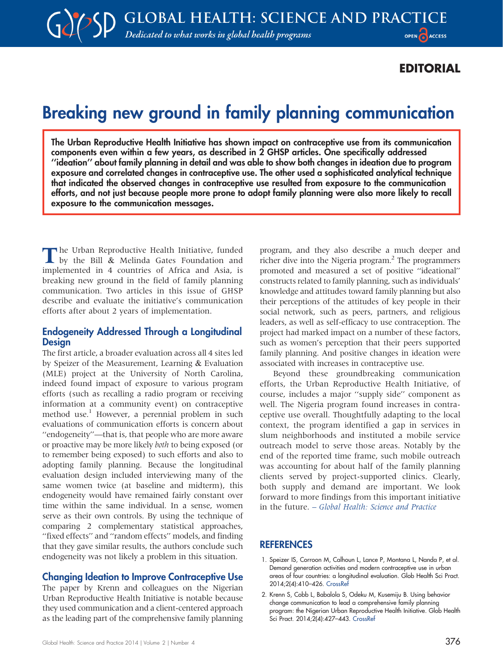# EDITORIAL

# Breaking new ground in family planning communication

The Urban Reproductive Health Initiative has shown impact on contraceptive use from its communication components even within a few years, as described in 2 GHSP articles. One specifically addressed ''ideation'' about family planning in detail and was able to show both changes in ideation due to program exposure and correlated changes in contraceptive use. The other used a sophisticated analytical technique that indicated the observed changes in contraceptive use resulted from exposure to the communication efforts, and not just because people more prone to adopt family planning were also more likely to recall exposure to the communication messages.

The Urban Reproductive Health Initiative, funded by the Bill & Melinda Gates Foundation and implemented in 4 countries of Africa and Asia, is breaking new ground in the field of family planning communication. Two articles in this issue of GHSP describe and evaluate the initiative's communication efforts after about 2 years of implementation.

#### Endogeneity Addressed Through a Longitudinal **Design**

The first article, a broader evaluation across all 4 sites led by Speizer of the Measurement, Learning & Evaluation (MLE) project at the University of North Carolina, indeed found impact of exposure to various program efforts (such as recalling a radio program or receiving information at a community event) on contraceptive method use.<sup>1</sup> However, a perennial problem in such evaluations of communication efforts is concern about ''endogeneity''—that is, that people who are more aware or proactive may be more likely both to being exposed (or to remember being exposed) to such efforts and also to adopting family planning. Because the longitudinal evaluation design included interviewing many of the same women twice (at baseline and midterm), this endogeneity would have remained fairly constant over time within the same individual. In a sense, women serve as their own controls. By using the technique of comparing 2 complementary statistical approaches, "fixed effects" and "random effects" models, and finding that they gave similar results, the authors conclude such endogeneity was not likely a problem in this situation.

## Changing Ideation to Improve Contraceptive Use

The paper by Krenn and colleagues on the Nigerian Urban Reproductive Health Initiative is notable because they used communication and a client-centered approach as the leading part of the comprehensive family planning program, and they also describe a much deeper and richer dive into the Nigeria program.<sup>2</sup> The programmers promoted and measured a set of positive ''ideational'' constructs related to family planning, such as individuals' knowledge and attitudes toward family planning but also their perceptions of the attitudes of key people in their social network, such as peers, partners, and religious leaders, as well as self-efficacy to use contraception. The project had marked impact on a number of these factors, such as women's perception that their peers supported family planning. And positive changes in ideation were associated with increases in contraceptive use.

Beyond these groundbreaking communication efforts, the Urban Reproductive Health Initiative, of course, includes a major ''supply side'' component as well. The Nigeria program found increases in contraceptive use overall. Thoughtfully adapting to the local context, the program identified a gap in services in slum neighborhoods and instituted a mobile service outreach model to serve those areas. Notably by the end of the reported time frame, such mobile outreach was accounting for about half of the family planning clients served by project-supported clinics. Clearly, both supply and demand are important. We look forward to more findings from this important initiative in the future. – Global Health: Science and Practice

## **REFERENCES**

- 1. Speizer IS, Corroon M, Calhoun L, Lance P, Montana L, Nanda P, et al. Demand generation activities and modern contraceptive use in urban areas of four countries: a longitudinal evaluation. Glob Health Sci Pract. 2014;2(4):410–426. [CrossRef](http://dx.doi.org/10.9745/GHSP-D-14-00109)
- 2. Krenn S, Cobb L, Babalola S, Odeku M, Kusemiju B. Using behavior change communication to lead a comprehensive family planning program: the Nigerian Urban Reproductive Health Initiative. Glob Health Sci Pract. 2014;2(4):427–443. [CrossRef](http://dx.doi.org/10.9745/GHSP-D-14-00009)